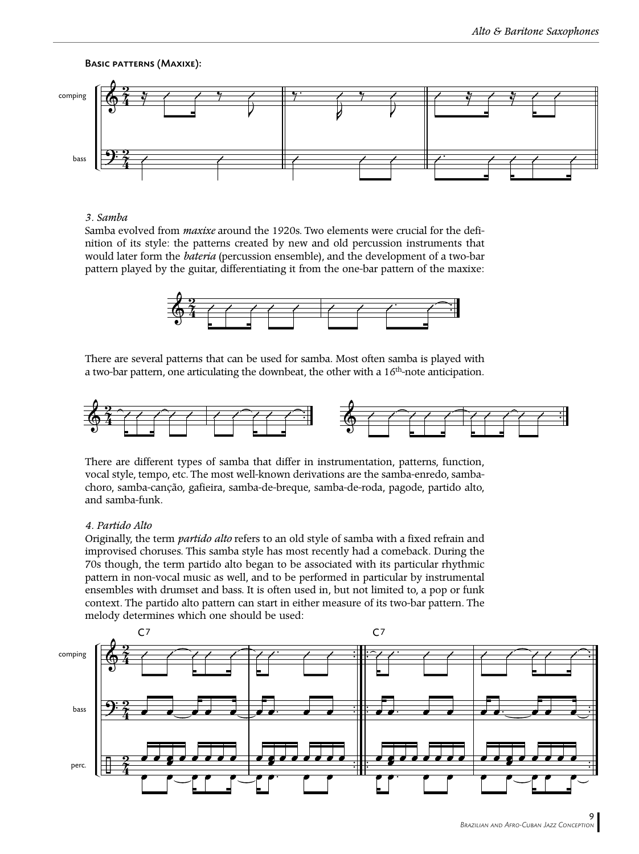## Basic patterns (Maxixe):



## *3. Samba*

Samba evolved from *maxixe* around the 1920s. Two elements were crucial for the definition of its style: the patterns created by new and old percussion instruments that would later form the *bateria* (percussion ensemble), and the development of a two-bar pattern played by the guitar, differentiating it from the one-bar pattern of the maxixe:



There are several patterns that can be used for samba. Most often samba is played with a two-bar pattern, one articulating the downbeat, the other with a  $16<sup>th</sup>$ -note anticipation.



There are different types of samba that differ in instrumentation, patterns, function, vocal style, tempo, etc. The most well-known derivations are the samba-enredo, sambachoro, samba-canção, gafieira, samba-de-breque, samba-de-roda, pagode, partido alto, and samba-funk.

#### *4. Partido Alto*

Originally, the term *partido alto* refers to an old style of samba with a fixed refrain and improvised choruses. This samba style has most recently had a comeback. During the 70s though, the term partido alto began to be associated with its particular rhythmic pattern in non-vocal music as well, and to be performed in particular by instrumental ensembles with drumset and bass. It is often used in, but not limited to, a pop or funk context. The partido alto pattern can start in either measure of its two-bar pattern. The melody determines which one should be used:

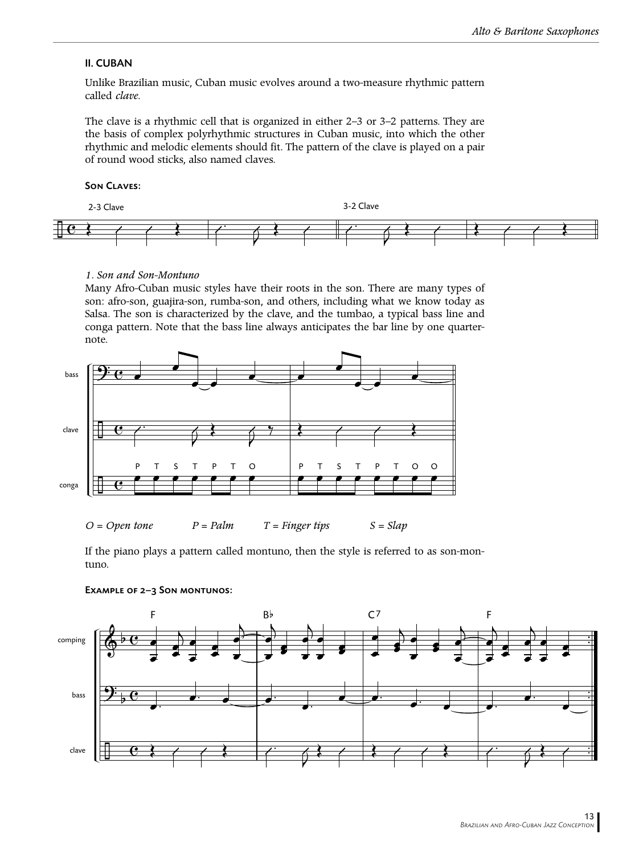# II. CUBAN

Unlike Brazilian music, Cuban music evolves around a two-measure rhythmic pattern called *clave*.

The clave is a rhythmic cell that is organized in either 2–3 or 3–2 patterns. They are the basis of complex polyrhythmic structures in Cuban music, into which the other rhythmic and melodic elements should fit. The pattern of the clave is played on a pair of round wood sticks, also named claves.

# Son Claves:



#### *1. Son and Son-Montuno*

Many Afro-Cuban music styles have their roots in the son. There are many types of son: afro-son, guajira-son, rumba-son, and others, including what we know today as Salsa. The son is characterized by the clave, and the tumbao, a typical bass line and conga pattern. Note that the bass line always anticipates the bar line by one quarternote.



*O = Open tone P = Palm T = Finger tips S = Slap*

If the piano plays a pattern called montuno, then the style is referred to as son-montuno.



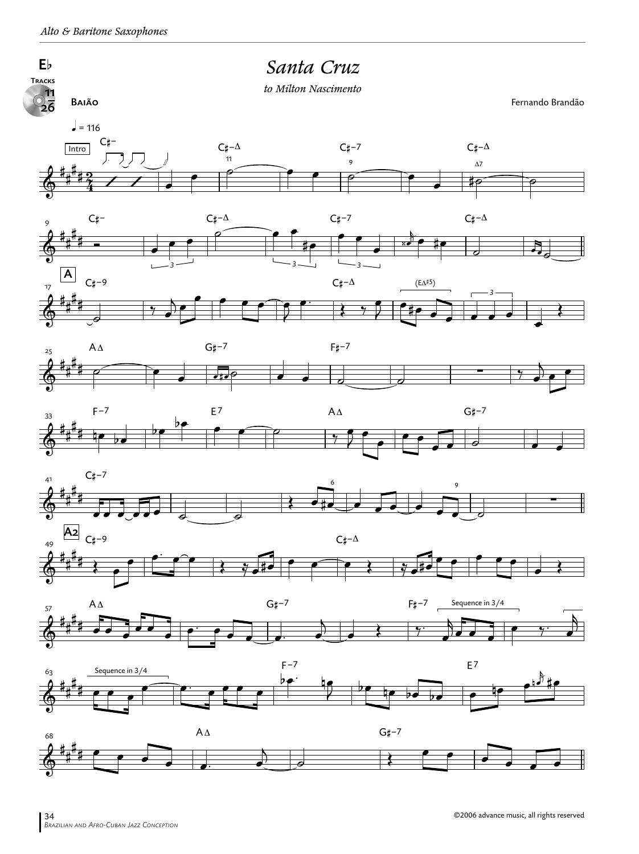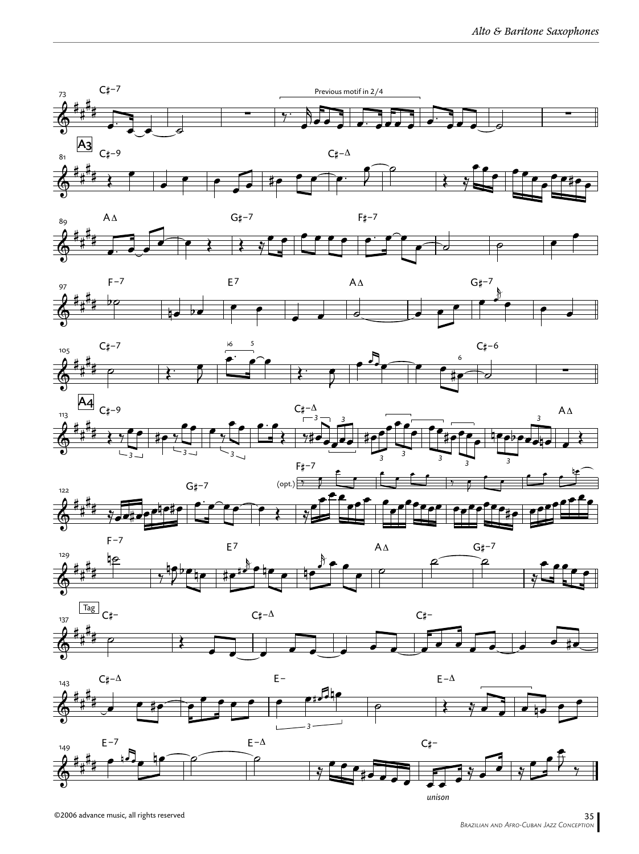

©2006 advance music, all rights reserved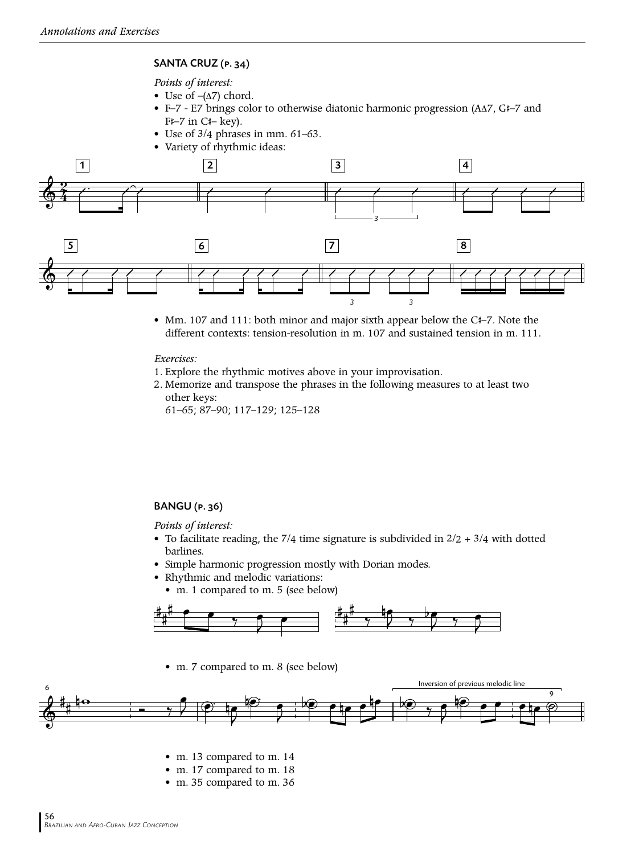# SANTA CRUZ (p. 34)

*Points of interest:*

- Use of  $-(\Delta 7)$  chord.
- F–7 E7 brings color to otherwise diatonic harmonic progression (AΔ7, G#–7 and  $F+-7$  in  $C+-$  key).
- Use of 3/4 phrases in mm. 61–63.
- Variety of rhythmic ideas:



• Mm. 107 and 111: both minor and major sixth appear below the C#–7. Note the different contexts: tension-resolution in m. 107 and sustained tension in m. 111.

## *Exercises:*

- 1. Explore the rhythmic motives above in your improvisation.
- 2. Memorize and transpose the phrases in the following measures to at least two other keys:
	- 61–65; 87–90; 117–129; 125–128

#### BANGU (p. 36)

*Points of interest:*

- To facilitate reading, the 7/4 time signature is subdivided in  $2/2 + 3/4$  with dotted barlines.
- Simple harmonic progression mostly with Dorian modes.
- Rhythmic and melodic variations:
	-



• m. 7 compared to m. 8 (see below)



- m. 13 compared to m. 14
- m. 17 compared to m. 18
- m. 35 compared to m. 36